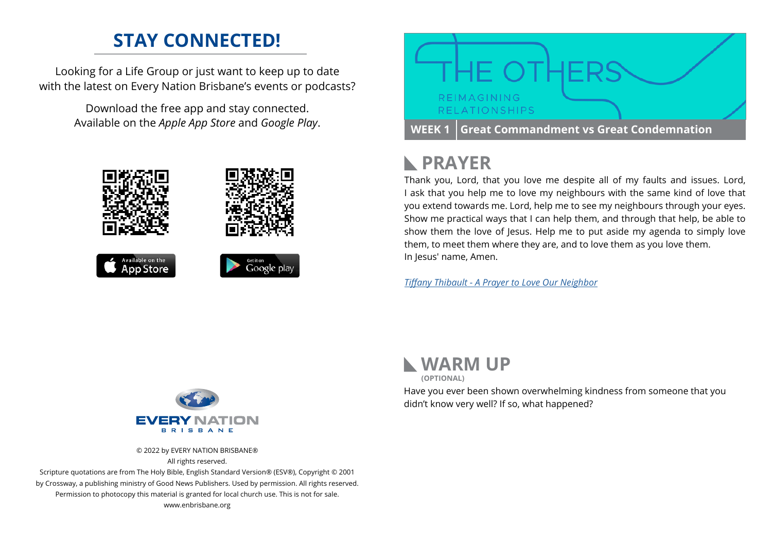## **STAY CONNECTED!**

Looking for a Life Group or just want to keep up to date with the latest on Every Nation Brisbane's events or podcasts?

> Download the free app and stay connected. Available on the *Apple App Store* and *Google Play*.





# **PRAYER**

Thank you, Lord, that you love me despite all of my faults and issues. Lord, I ask that you help me to love my neighbours with the same kind of love that you extend towards me. Lord, help me to see my neighbours through your eyes. Show me practical ways that I can help them, and through that help, be able to show them the love of Jesus. Help me to put aside my agenda to simply love them, to meet them where they are, and to love them as you love them. In Jesus' name, Amen.

*[Tiffany Thibault - A Prayer to Love Our Neighbor](https://www.crosswalk.com/)*



© 2022 by EVERY NATION BRISBANE® All rights reserved.

Scripture quotations are from The Holy Bible, English Standard Version® (ESV®), Copyright © 2001 by Crossway, a publishing ministry of Good News Publishers. Used by permission. All rights reserved. Permission to photocopy this material is granted for local church use. This is not for sale. www.enbrisbane.org



Have you ever been shown overwhelming kindness from someone that you didn't know very well? If so, what happened?